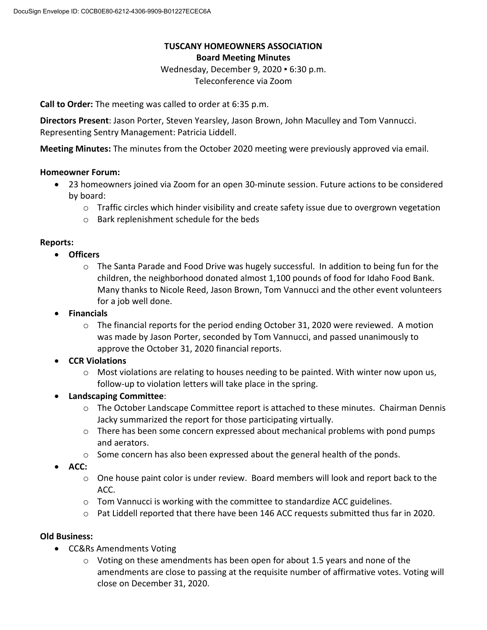## **TUSCANY HOMEOWNERS ASSOCIATION Board Meeting Minutes**

Wednesday, December 9, 2020 ▪ 6:30 p.m. Teleconference via Zoom

**Call to Order:** The meeting was called to order at 6:35 p.m.

**Directors Present**: Jason Porter, Steven Yearsley, Jason Brown, John Maculley and Tom Vannucci. Representing Sentry Management: Patricia Liddell.

**Meeting Minutes:** The minutes from the October 2020 meeting were previously approved via email.

### **Homeowner Forum:**

- 23 homeowners joined via Zoom for an open 30-minute session. Future actions to be considered by board:
	- $\circ$  Traffic circles which hinder visibility and create safety issue due to overgrown vegetation
	- o Bark replenishment schedule for the beds

### **Reports:**

- **Officers**
	- o The Santa Parade and Food Drive was hugely successful. In addition to being fun for the children, the neighborhood donated almost 1,100 pounds of food for Idaho Food Bank. Many thanks to Nicole Reed, Jason Brown, Tom Vannucci and the other event volunteers for a job well done.
- **Financials**
	- $\circ$  The financial reports for the period ending October 31, 2020 were reviewed. A motion was made by Jason Porter, seconded by Tom Vannucci, and passed unanimously to approve the October 31, 2020 financial reports.
- **CCR Violations**
	- $\circ$  Most violations are relating to houses needing to be painted. With winter now upon us, follow-up to violation letters will take place in the spring.
- **Landscaping Committee**:
	- $\circ$  The October Landscape Committee report is attached to these minutes. Chairman Dennis Jacky summarized the report for those participating virtually.
	- $\circ$  There has been some concern expressed about mechanical problems with pond pumps and aerators.
	- o Some concern has also been expressed about the general health of the ponds.
- **ACC:**
	- $\circ$  One house paint color is under review. Board members will look and report back to the ACC.
	- $\circ$  Tom Vannucci is working with the committee to standardize ACC guidelines.
	- $\circ$  Pat Liddell reported that there have been 146 ACC requests submitted thus far in 2020.

### **Old Business:**

- CC&Rs Amendments Voting
	- o Voting on these amendments has been open for about 1.5 years and none of the amendments are close to passing at the requisite number of affirmative votes. Voting will close on December 31, 2020.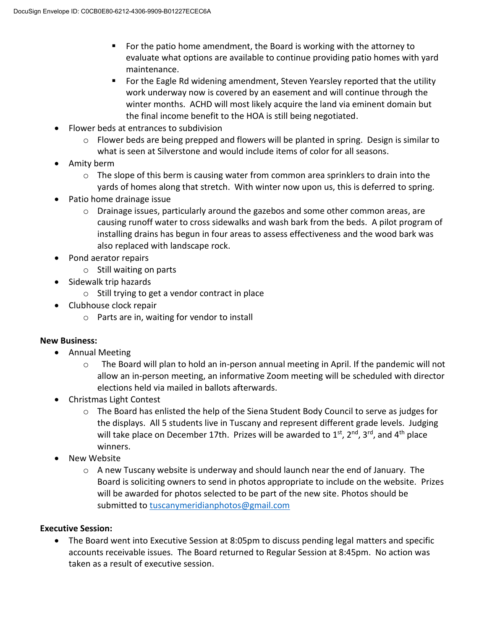- For the patio home amendment, the Board is working with the attorney to evaluate what options are available to continue providing patio homes with yard maintenance.
- For the Eagle Rd widening amendment, Steven Yearsley reported that the utility work underway now is covered by an easement and will continue through the winter months. ACHD will most likely acquire the land via eminent domain but the final income benefit to the HOA is still being negotiated.
- Flower beds at entrances to subdivision
	- $\circ$  Flower beds are being prepped and flowers will be planted in spring. Design is similar to what is seen at Silverstone and would include items of color for all seasons.
- Amity berm
	- $\circ$  The slope of this berm is causing water from common area sprinklers to drain into the yards of homes along that stretch. With winter now upon us, this is deferred to spring.
- Patio home drainage issue
	- $\circ$  Drainage issues, particularly around the gazebos and some other common areas, are causing runoff water to cross sidewalks and wash bark from the beds. A pilot program of installing drains has begun in four areas to assess effectiveness and the wood bark was also replaced with landscape rock.
- Pond aerator repairs
	- o Still waiting on parts
- Sidewalk trip hazards
	- o Still trying to get a vendor contract in place
- Clubhouse clock repair
	- o Parts are in, waiting for vendor to install

# **New Business:**

- Annual Meeting
	- $\circ$  The Board will plan to hold an in-person annual meeting in April. If the pandemic will not allow an in-person meeting, an informative Zoom meeting will be scheduled with director elections held via mailed in ballots afterwards.
- Christmas Light Contest
	- $\circ$  The Board has enlisted the help of the Siena Student Body Council to serve as judges for the displays. All 5 students live in Tuscany and represent different grade levels. Judging will take place on December 17th. Prizes will be awarded to  $1<sup>st</sup>$ ,  $2<sup>nd</sup>$ ,  $3<sup>rd</sup>$ , and  $4<sup>th</sup>$  place winners.
- **New Website** 
	- $\circ$  A new Tuscany website is underway and should launch near the end of January. The Board is soliciting owners to send in photos appropriate to include on the website. Prizes will be awarded for photos selected to be part of the new site. Photos should be submitted to [tuscanymeridianphotos@gmail.com](mailto:tuscanymeridianphotos@gmail.com)

# **Executive Session:**

• The Board went into Executive Session at 8:05pm to discuss pending legal matters and specific accounts receivable issues. The Board returned to Regular Session at 8:45pm. No action was taken as a result of executive session.